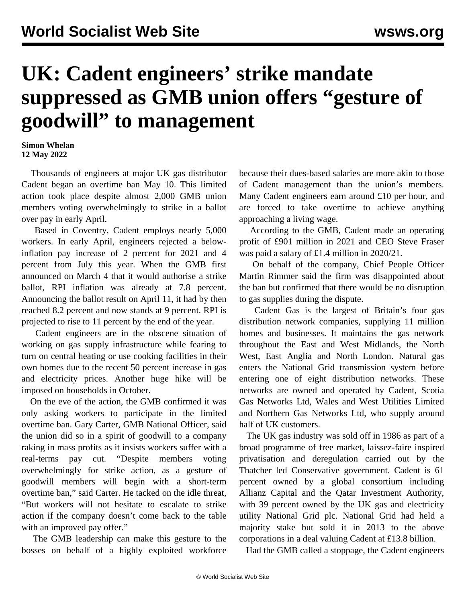## **UK: Cadent engineers' strike mandate suppressed as GMB union offers "gesture of goodwill" to management**

## **Simon Whelan 12 May 2022**

 Thousands of engineers at major UK gas distributor Cadent began an overtime ban May 10. This limited action took place despite almost 2,000 GMB union members voting overwhelmingly to strike in a ballot over pay in early April.

 Based in Coventry, Cadent employs nearly 5,000 workers. In early April, engineers rejected a belowinflation pay increase of 2 percent for 2021 and 4 percent from July this year. When the GMB first announced on March 4 that it would authorise a strike ballot, RPI inflation was already at 7.8 percent. Announcing the ballot result on April 11, it had by then reached 8.2 percent and now stands at 9 percent. RPI is projected to rise to 11 percent by the end of the year.

 Cadent engineers are in the obscene situation of working on gas supply infrastructure while fearing to turn on central heating or use cooking facilities in their own homes due to the recent 50 percent increase in gas and electricity prices. Another huge hike will be imposed on households in October.

 On the eve of the action, the GMB confirmed it was only asking workers to participate in the limited overtime ban. Gary Carter, GMB National Officer, said the union did so in a spirit of goodwill to a company raking in mass profits as it insists workers suffer with a real-terms pay cut. "Despite members voting overwhelmingly for strike action, as a gesture of goodwill members will begin with a short-term overtime ban," said Carter. He tacked on the idle threat, "But workers will not hesitate to escalate to strike action if the company doesn't come back to the table with an improved pay offer."

 The GMB leadership can make this gesture to the bosses on behalf of a highly exploited workforce

because their dues-based salaries are more akin to those of Cadent management than the union's members. Many Cadent engineers earn around £10 per hour, and are forced to take overtime to achieve anything approaching a living wage.

 According to the GMB, Cadent made an operating profit of £901 million in 2021 and CEO Steve Fraser was paid a salary of £1.4 million in 2020/21.

 On behalf of the company, Chief People Officer Martin Rimmer said the firm was disappointed about the ban but confirmed that there would be no disruption to gas supplies during the dispute.

 Cadent Gas is the largest of Britain's four gas distribution network companies, supplying 11 million homes and businesses. It maintains the gas network throughout the East and West Midlands, the North West, East Anglia and North London. Natural gas enters the National Grid transmission system before entering one of eight distribution networks. These networks are owned and operated by Cadent, Scotia Gas Networks Ltd, Wales and West Utilities Limited and Northern Gas Networks Ltd, who supply around half of UK customers.

 The UK gas industry was sold off in 1986 as part of a broad programme of free market, laissez-faire inspired privatisation and deregulation carried out by the Thatcher led Conservative government. Cadent is 61 percent owned by a global consortium including Allianz Capital and the Qatar Investment Authority, with 39 percent owned by the UK gas and electricity utility National Grid plc. National Grid had held a majority stake but sold it in 2013 to the above corporations in a deal valuing Cadent at £13.8 billion.

Had the GMB called a stoppage, the Cadent engineers